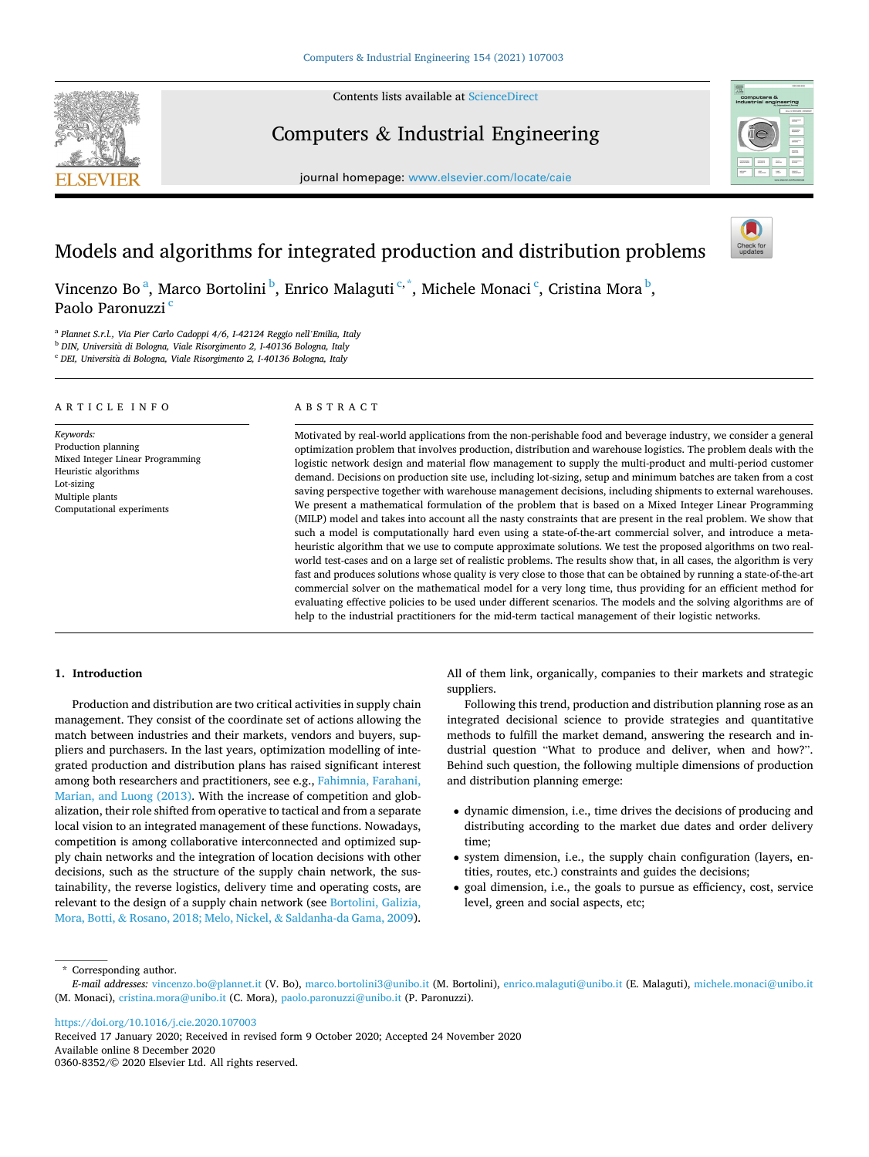Contents lists available at [ScienceDirect](www.sciencedirect.com/science/journal/03608352)



Computers & Industrial Engineering

journal homepage: [www.elsevier.com/locate/caie](https://www.elsevier.com/locate/caie) 



# Models and algorithms for integrated production and distribution problems



Vincenzo Bo<sup>a</sup>, Marco Bortolini <sup>b</sup>, Enrico Malaguti<sup>c,\*</sup>, Michele Monaci<sup>c</sup>, Cristina Mora <sup>b</sup>, Paolo Paronuzzi<sup>c</sup>

<sup>a</sup> *Plannet S.r.l., Via Pier Carlo Cadoppi 4/6, I-42124 Reggio nell'Emilia, Italy* 

<sup>b</sup> DIN, Università di Bologna, Viale Risorgimento 2, I-40136 Bologna, Italy

<sup>c</sup> DEI, Università di Bologna, Viale Risorgimento 2, I-40136 Bologna, Italy

#### ARTICLE INFO

Computational experiments

Heuristic algorithms Lot-sizing Multiple plants

Mixed Integer Linear Programming

*Keywords:*  Production planning ABSTRACT

Motivated by real-world applications from the non-perishable food and beverage industry, we consider a general optimization problem that involves production, distribution and warehouse logistics. The problem deals with the logistic network design and material flow management to supply the multi-product and multi-period customer demand. Decisions on production site use, including lot-sizing, setup and minimum batches are taken from a cost saving perspective together with warehouse management decisions, including shipments to external warehouses. We present a mathematical formulation of the problem that is based on a Mixed Integer Linear Programming (MILP) model and takes into account all the nasty constraints that are present in the real problem. We show that such a model is computationally hard even using a state-of-the-art commercial solver, and introduce a metaheuristic algorithm that we use to compute approximate solutions. We test the proposed algorithms on two realworld test-cases and on a large set of realistic problems. The results show that, in all cases, the algorithm is very fast and produces solutions whose quality is very close to those that can be obtained by running a state-of-the-art commercial solver on the mathematical model for a very long time, thus providing for an efficient method for evaluating effective policies to be used under different scenarios. The models and the solving algorithms are of help to the industrial practitioners for the mid-term tactical management of their logistic networks.

#### **1. Introduction**

Production and distribution are two critical activities in supply chain management. They consist of the coordinate set of actions allowing the match between industries and their markets, vendors and buyers, suppliers and purchasers. In the last years, optimization modelling of integrated production and distribution plans has raised significant interest among both researchers and practitioners, see e.g., [Fahimnia, Farahani,](#page-9-0)  [Marian, and Luong \(2013\)](#page-9-0). With the increase of competition and globalization, their role shifted from operative to tactical and from a separate local vision to an integrated management of these functions. Nowadays, competition is among collaborative interconnected and optimized supply chain networks and the integration of location decisions with other decisions, such as the structure of the supply chain network, the sustainability, the reverse logistics, delivery time and operating costs, are relevant to the design of a supply chain network (see [Bortolini, Galizia,](#page-9-0)  Mora, Botti, & [Rosano, 2018; Melo, Nickel,](#page-9-0) & Saldanha-da Gama, 2009).

All of them link, organically, companies to their markets and strategic suppliers.

Following this trend, production and distribution planning rose as an integrated decisional science to provide strategies and quantitative methods to fulfill the market demand, answering the research and industrial question "What to produce and deliver, when and how?". Behind such question, the following multiple dimensions of production and distribution planning emerge:

- dynamic dimension, i.e., time drives the decisions of producing and distributing according to the market due dates and order delivery time;
- system dimension, i.e., the supply chain configuration (layers, entities, routes, etc.) constraints and guides the decisions;
- goal dimension, i.e., the goals to pursue as efficiency, cost, service level, green and social aspects, etc;

\* Corresponding author.

<https://doi.org/10.1016/j.cie.2020.107003>

Available online 8 December 2020 0360-8352/© 2020 Elsevier Ltd. All rights reserved. Received 17 January 2020; Received in revised form 9 October 2020; Accepted 24 November 2020

*E-mail addresses:* [vincenzo.bo@plannet.it](mailto:vincenzo.bo@plannet.it) (V. Bo), [marco.bortolini3@unibo.it](mailto:marco.bortolini3@unibo.it) (M. Bortolini), [enrico.malaguti@unibo.it](mailto:enrico.malaguti@unibo.it) (E. Malaguti), [michele.monaci@unibo.it](mailto:michele.monaci@unibo.it)  (M. Monaci), [cristina.mora@unibo.it](mailto:cristina.mora@unibo.it) (C. Mora), [paolo.paronuzzi@unibo.it](mailto:paolo.paronuzzi@unibo.it) (P. Paronuzzi).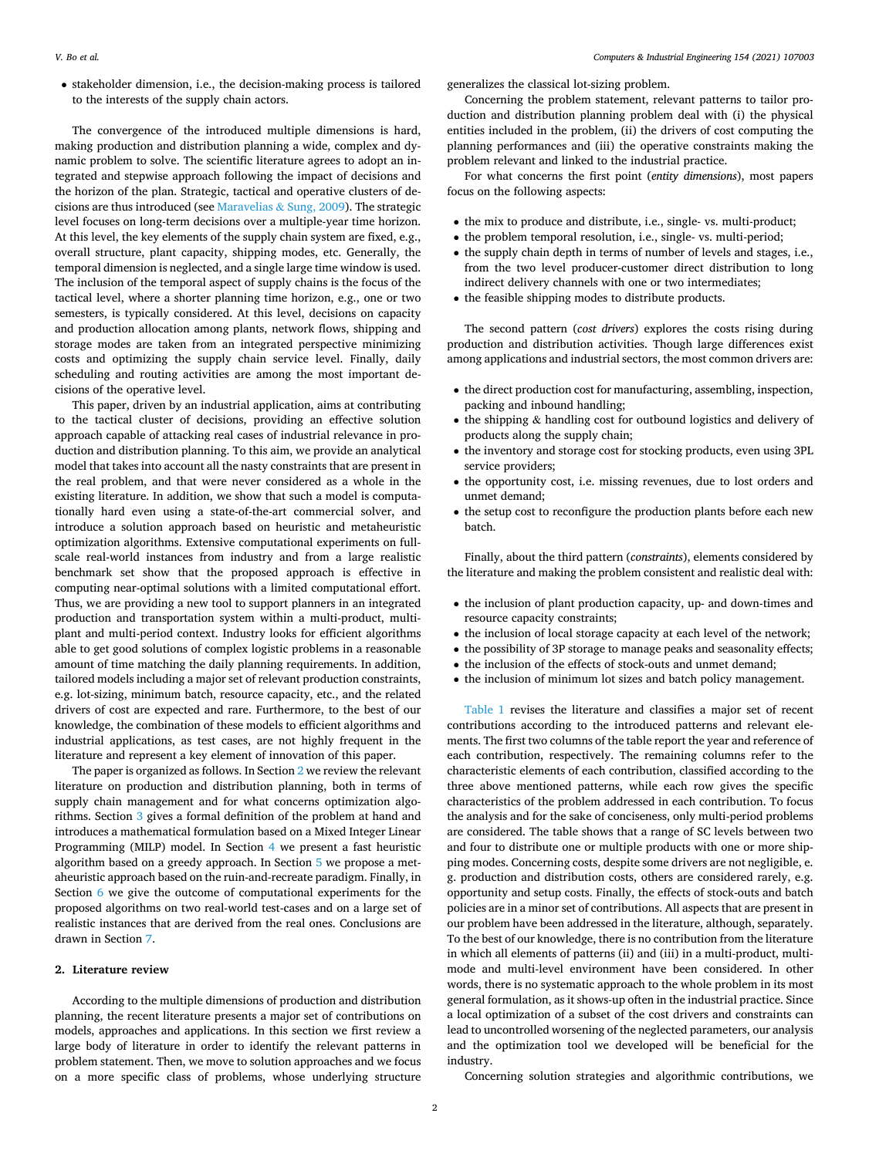• stakeholder dimension, i.e., the decision-making process is tailored to the interests of the supply chain actors.

The convergence of the introduced multiple dimensions is hard, making production and distribution planning a wide, complex and dynamic problem to solve. The scientific literature agrees to adopt an integrated and stepwise approach following the impact of decisions and the horizon of the plan. Strategic, tactical and operative clusters of de-cisions are thus introduced (see [Maravelias](#page-10-0)  $&$  Sung, 2009). The strategic level focuses on long-term decisions over a multiple-year time horizon. At this level, the key elements of the supply chain system are fixed, e.g., overall structure, plant capacity, shipping modes, etc. Generally, the temporal dimension is neglected, and a single large time window is used. The inclusion of the temporal aspect of supply chains is the focus of the tactical level, where a shorter planning time horizon, e.g., one or two semesters, is typically considered. At this level, decisions on capacity and production allocation among plants, network flows, shipping and storage modes are taken from an integrated perspective minimizing costs and optimizing the supply chain service level. Finally, daily scheduling and routing activities are among the most important decisions of the operative level.

This paper, driven by an industrial application, aims at contributing to the tactical cluster of decisions, providing an effective solution approach capable of attacking real cases of industrial relevance in production and distribution planning. To this aim, we provide an analytical model that takes into account all the nasty constraints that are present in the real problem, and that were never considered as a whole in the existing literature. In addition, we show that such a model is computationally hard even using a state-of-the-art commercial solver, and introduce a solution approach based on heuristic and metaheuristic optimization algorithms. Extensive computational experiments on fullscale real-world instances from industry and from a large realistic benchmark set show that the proposed approach is effective in computing near-optimal solutions with a limited computational effort. Thus, we are providing a new tool to support planners in an integrated production and transportation system within a multi-product, multiplant and multi-period context. Industry looks for efficient algorithms able to get good solutions of complex logistic problems in a reasonable amount of time matching the daily planning requirements. In addition, tailored models including a major set of relevant production constraints, e.g. lot-sizing, minimum batch, resource capacity, etc., and the related drivers of cost are expected and rare. Furthermore, to the best of our knowledge, the combination of these models to efficient algorithms and industrial applications, as test cases, are not highly frequent in the literature and represent a key element of innovation of this paper.

The paper is organized as follows. In Section 2 we review the relevant literature on production and distribution planning, both in terms of supply chain management and for what concerns optimization algorithms. Section [3](#page-3-0) gives a formal definition of the problem at hand and introduces a mathematical formulation based on a Mixed Integer Linear Programming (MILP) model. In Section [4](#page-5-0) we present a fast heuristic algorithm based on a greedy approach. In Section [5](#page-5-0) we propose a metaheuristic approach based on the ruin-and-recreate paradigm. Finally, in Section [6](#page-6-0) we give the outcome of computational experiments for the proposed algorithms on two real-world test-cases and on a large set of realistic instances that are derived from the real ones. Conclusions are drawn in Section [7](#page-9-0).

#### **2. Literature review**

According to the multiple dimensions of production and distribution planning, the recent literature presents a major set of contributions on models, approaches and applications. In this section we first review a large body of literature in order to identify the relevant patterns in problem statement. Then, we move to solution approaches and we focus on a more specific class of problems, whose underlying structure generalizes the classical lot-sizing problem.

Concerning the problem statement, relevant patterns to tailor production and distribution planning problem deal with (i) the physical entities included in the problem, (ii) the drivers of cost computing the planning performances and (iii) the operative constraints making the problem relevant and linked to the industrial practice.

For what concerns the first point (*entity dimensions*), most papers focus on the following aspects:

- the mix to produce and distribute, i.e., single- vs. multi-product;
- the problem temporal resolution, i.e., single- vs. multi-period;
- the supply chain depth in terms of number of levels and stages, i.e., from the two level producer-customer direct distribution to long indirect delivery channels with one or two intermediates;
- the feasible shipping modes to distribute products.

The second pattern (*cost drivers*) explores the costs rising during production and distribution activities. Though large differences exist among applications and industrial sectors, the most common drivers are:

- the direct production cost for manufacturing, assembling, inspection, packing and inbound handling;
- the shipping & handling cost for outbound logistics and delivery of products along the supply chain;
- the inventory and storage cost for stocking products, even using 3PL service providers;
- the opportunity cost, i.e. missing revenues, due to lost orders and unmet demand;
- the setup cost to reconfigure the production plants before each new batch.

Finally, about the third pattern (*constraints*), elements considered by the literature and making the problem consistent and realistic deal with:

- the inclusion of plant production capacity, up- and down-times and resource capacity constraints;
- the inclusion of local storage capacity at each level of the network;
- the possibility of 3P storage to manage peaks and seasonality effects;
- the inclusion of the effects of stock-outs and unmet demand;
- the inclusion of minimum lot sizes and batch policy management.

[Table 1](#page-2-0) revises the literature and classifies a major set of recent contributions according to the introduced patterns and relevant elements. The first two columns of the table report the year and reference of each contribution, respectively. The remaining columns refer to the characteristic elements of each contribution, classified according to the three above mentioned patterns, while each row gives the specific characteristics of the problem addressed in each contribution. To focus the analysis and for the sake of conciseness, only multi-period problems are considered. The table shows that a range of SC levels between two and four to distribute one or multiple products with one or more shipping modes. Concerning costs, despite some drivers are not negligible, e. g. production and distribution costs, others are considered rarely, e.g. opportunity and setup costs. Finally, the effects of stock-outs and batch policies are in a minor set of contributions. All aspects that are present in our problem have been addressed in the literature, although, separately. To the best of our knowledge, there is no contribution from the literature in which all elements of patterns (ii) and (iii) in a multi-product, multimode and multi-level environment have been considered. In other words, there is no systematic approach to the whole problem in its most general formulation, as it shows-up often in the industrial practice. Since a local optimization of a subset of the cost drivers and constraints can lead to uncontrolled worsening of the neglected parameters, our analysis and the optimization tool we developed will be beneficial for the industry.

Concerning solution strategies and algorithmic contributions, we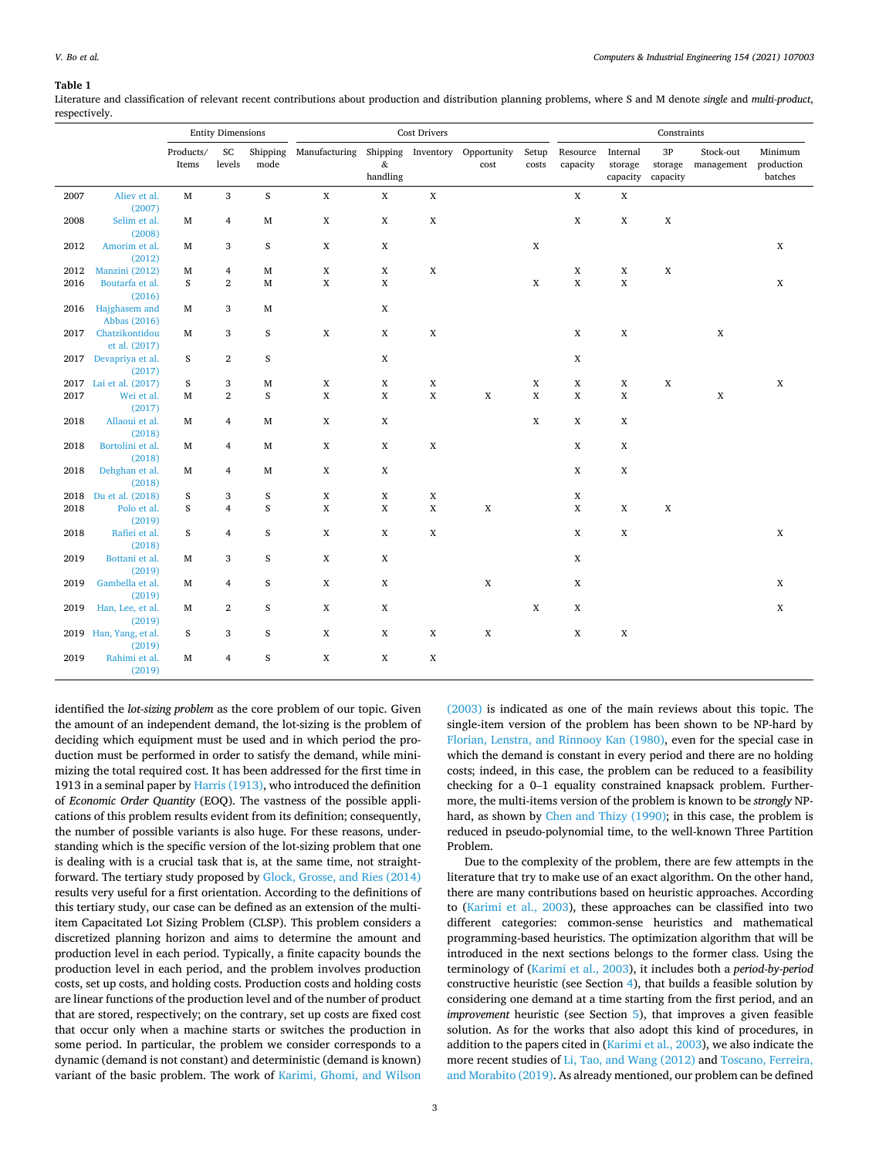#### <span id="page-2-0"></span>**Table 1**

Literature and classification of relevant recent contributions about production and distribution planning problems, where S and M denote *single* and *multi-product*, respectively.

|      |                                | <b>Entity Dimensions</b> |                     |                            | <b>Cost Drivers</b>                       |                                                                                      |                            |                     | Constraints                |                            |                                 |                                   |                         |                                  |
|------|--------------------------------|--------------------------|---------------------|----------------------------|-------------------------------------------|--------------------------------------------------------------------------------------|----------------------------|---------------------|----------------------------|----------------------------|---------------------------------|-----------------------------------|-------------------------|----------------------------------|
|      |                                | Products/<br>Items       | SC<br>levels        | mode                       | Shipping Manufacturing Shipping Inventory | $\&$<br>$% \left\vert \left( \mathcal{A}\right\vert \mathcal{A}\right\vert$ handling |                            | Opportunity<br>cost | Setup<br>costs             | Resource<br>capacity       | Internal<br>storage<br>capacity | $3{\rm P}$<br>storage<br>capacity | Stock-out<br>management | Minimum<br>production<br>batches |
| 2007 | Aliev et al.                   | $\mathbf M$              | 3                   | $\mathbf S$                | $\mathbf X$                               | $\mathbf X$                                                                          | $\mathbf X$                |                     |                            | $\mathbf X$                | $\mathbf X$                     |                                   |                         |                                  |
| 2008 | (2007)<br>Selim et al.         | М                        | 4                   | $\mathbf M$                | $\mathbf X$                               | $\mathbf X$                                                                          | $\mathbf X$                |                     |                            | $\mathbf X$                | $\mathbf X$                     | $\mathbf X$                       |                         |                                  |
| 2012 | (2008)<br>Amorim et al.        | М                        | 3                   | $\boldsymbol{S}$           | X                                         | X                                                                                    |                            |                     | X                          |                            |                                 |                                   |                         | $\mathbf X$                      |
| 2012 | (2012)<br>Manzini (2012)       | М                        | 4                   | $\mathbf M$                | $\mathbf X$                               | X                                                                                    | $\mathbf X$                |                     |                            | $\mathbf X$                | X                               | X                                 |                         |                                  |
| 2016 | Boutarfa et al.                | S                        | $\overline{2}$      | $\mathbf M$                | $\mathbf X$                               | X                                                                                    |                            |                     | $\mathbf X$                | $\mathbf X$                | $\mathbf X$                     |                                   |                         | $\mathbf X$                      |
|      | (2016)                         |                          |                     |                            |                                           |                                                                                      |                            |                     |                            |                            |                                 |                                   |                         |                                  |
| 2016 | Hajghasem and                  | M                        | 3                   | $\mathbf M$                |                                           | X                                                                                    |                            |                     |                            |                            |                                 |                                   |                         |                                  |
| 2017 | Abbas (2016)<br>Chatzikontidou | М                        | 3                   | $\boldsymbol{S}$           | X                                         | X                                                                                    | $\mathbf X$                |                     |                            | $\mathbf X$                | X                               |                                   | $\mathbf X$             |                                  |
|      | et al. (2017)                  |                          |                     |                            |                                           |                                                                                      |                            |                     |                            |                            |                                 |                                   |                         |                                  |
|      | 2017 Devapriya et al.          | S                        | $\mathbf{2}$        | $\boldsymbol{S}$           |                                           | $\mathbf X$                                                                          |                            |                     |                            | $\mathbf X$                |                                 |                                   |                         |                                  |
|      | (2017)                         |                          |                     |                            |                                           |                                                                                      |                            |                     |                            |                            |                                 |                                   |                         |                                  |
|      | 2017 Lai et al. (2017)         | S<br>$\mathbf{M}$        | 3<br>$\overline{2}$ | $\mathbf M$<br>$\mathbf S$ | $\mathbf X$<br>$\mathbf X$                | $\mathbf X$<br>$\mathbf X$                                                           | $\mathbf X$<br>$\mathbf X$ | $\mathbf X$         | $\mathbf X$<br>$\mathbf X$ | $\mathbf X$<br>$\mathbf X$ | X<br>$\mathbf X$                | X                                 |                         | $\boldsymbol{\mathrm{X}}$        |
| 2017 | Wei et al.<br>(2017)           |                          |                     |                            |                                           |                                                                                      |                            |                     |                            |                            |                                 |                                   | $\mathbf X$             |                                  |
| 2018 | Allaoui et al.                 | М                        | 4                   | $\mathbf M$                | $\mathbf X$                               | X                                                                                    |                            |                     | $\mathbf X$                | $\mathbf X$                | X                               |                                   |                         |                                  |
|      | (2018)                         |                          |                     |                            |                                           |                                                                                      |                            |                     |                            |                            |                                 |                                   |                         |                                  |
| 2018 | Bortolini et al.               | М                        | 4                   | $\mathbf M$                | X                                         | X                                                                                    | $\mathbf X$                |                     |                            | $\mathbf X$                | X                               |                                   |                         |                                  |
| 2018 | (2018)<br>Dehghan et al.       | М                        | 4                   | $\mathbf M$                | X                                         | X                                                                                    |                            |                     |                            | $\mathbf X$                | X                               |                                   |                         |                                  |
|      | (2018)                         |                          |                     |                            |                                           |                                                                                      |                            |                     |                            |                            |                                 |                                   |                         |                                  |
| 2018 | Du et al. (2018)               | S                        | 3                   | S                          | $\mathbf X$                               | $\mathbf X$                                                                          | $\mathbf X$                |                     |                            | $\mathbf X$                |                                 |                                   |                         |                                  |
| 2018 | Polo et al.                    | S                        | $\overline{4}$      | $\boldsymbol{S}$           | $\mathbf X$                               | X                                                                                    | $\mathbf X$                | $\mathbf X$         |                            | $\mathbf X$                | X                               | X                                 |                         |                                  |
|      | (2019)                         |                          |                     |                            |                                           |                                                                                      |                            |                     |                            |                            |                                 |                                   |                         |                                  |
| 2018 | Rafiei et al.<br>(2018)        | S                        | 4                   | $\boldsymbol{S}$           | X                                         | $\mathbf X$                                                                          | $\mathbf X$                |                     |                            | $\mathbf X$                | X                               |                                   |                         | $\mathbf X$                      |
| 2019 | Bottani et al.                 | М                        | 3                   | $\boldsymbol{S}$           | $\mathbf X$                               | $\mathbf X$                                                                          |                            |                     |                            | $\mathbf X$                |                                 |                                   |                         |                                  |
|      | (2019)                         |                          |                     |                            |                                           |                                                                                      |                            |                     |                            |                            |                                 |                                   |                         |                                  |
| 2019 | Gambella et al.                | М                        | 4                   | S                          | $\mathbf X$                               | X                                                                                    |                            | $\mathbf X$         |                            | $\mathbf X$                |                                 |                                   |                         | $\mathbf X$                      |
|      | (2019)                         |                          |                     |                            |                                           |                                                                                      |                            |                     |                            |                            |                                 |                                   |                         |                                  |
| 2019 | Han, Lee, et al.<br>(2019)     | М                        | $\mathbf{2}$        | $\boldsymbol{S}$           | X                                         | X                                                                                    |                            |                     | $\mathbf X$                | $\mathbf X$                |                                 |                                   |                         | $\mathbf X$                      |
|      | 2019 Han, Yang, et al.         | S                        | 3                   | S                          | $\mathbf X$                               | $\mathbf X$                                                                          | $\mathbf X$                | $\mathbf X$         |                            | $\mathbf X$                | $\mathbf X$                     |                                   |                         |                                  |
|      | (2019)                         |                          |                     |                            |                                           |                                                                                      |                            |                     |                            |                            |                                 |                                   |                         |                                  |
| 2019 | Rahimi et al.<br>(2019)        | M                        | $\overline{4}$      | S                          | X                                         | $\mathbf X$                                                                          | $\mathbf X$                |                     |                            |                            |                                 |                                   |                         |                                  |

identified the *lot-sizing problem* as the core problem of our topic. Given the amount of an independent demand, the lot-sizing is the problem of deciding which equipment must be used and in which period the production must be performed in order to satisfy the demand, while minimizing the total required cost. It has been addressed for the first time in 1913 in a seminal paper by [Harris \(1913\)](#page-10-0), who introduced the definition of *Economic Order Quantity* (EOQ). The vastness of the possible applications of this problem results evident from its definition; consequently, the number of possible variants is also huge. For these reasons, understanding which is the specific version of the lot-sizing problem that one is dealing with is a crucial task that is, at the same time, not straightforward. The tertiary study proposed by [Glock, Grosse, and Ries \(2014\)](#page-9-0)  results very useful for a first orientation. According to the definitions of this tertiary study, our case can be defined as an extension of the multiitem Capacitated Lot Sizing Problem (CLSP). This problem considers a discretized planning horizon and aims to determine the amount and production level in each period. Typically, a finite capacity bounds the production level in each period, and the problem involves production costs, set up costs, and holding costs. Production costs and holding costs are linear functions of the production level and of the number of product that are stored, respectively; on the contrary, set up costs are fixed cost that occur only when a machine starts or switches the production in some period. In particular, the problem we consider corresponds to a dynamic (demand is not constant) and deterministic (demand is known) variant of the basic problem. The work of [Karimi, Ghomi, and Wilson](#page-10-0) 

[\(2003\)](#page-10-0) is indicated as one of the main reviews about this topic. The single-item version of the problem has been shown to be NP-hard by [Florian, Lenstra, and Rinnooy Kan \(1980\),](#page-9-0) even for the special case in which the demand is constant in every period and there are no holding costs; indeed, in this case, the problem can be reduced to a feasibility checking for a 0–1 equality constrained knapsack problem. Furthermore, the multi-items version of the problem is known to be *strongly* NPhard, as shown by [Chen and Thizy \(1990\);](#page-9-0) in this case, the problem is reduced in pseudo-polynomial time, to the well-known Three Partition Problem.

Due to the complexity of the problem, there are few attempts in the literature that try to make use of an exact algorithm. On the other hand, there are many contributions based on heuristic approaches. According to [\(Karimi et al., 2003\)](#page-10-0), these approaches can be classified into two different categories: common-sense heuristics and mathematical programming-based heuristics. The optimization algorithm that will be introduced in the next sections belongs to the former class. Using the terminology of [\(Karimi et al., 2003](#page-10-0)), it includes both a *period-by-period*  constructive heuristic (see Section [4](#page-5-0)), that builds a feasible solution by considering one demand at a time starting from the first period, and an *improvement* heuristic (see Section [5](#page-5-0)), that improves a given feasible solution. As for the works that also adopt this kind of procedures, in addition to the papers cited in [\(Karimi et al., 2003](#page-10-0)), we also indicate the more recent studies of [Li, Tao, and Wang \(2012\)](#page-10-0) and [Toscano, Ferreira,](#page-10-0)  [and Morabito \(2019\)](#page-10-0). As already mentioned, our problem can be defined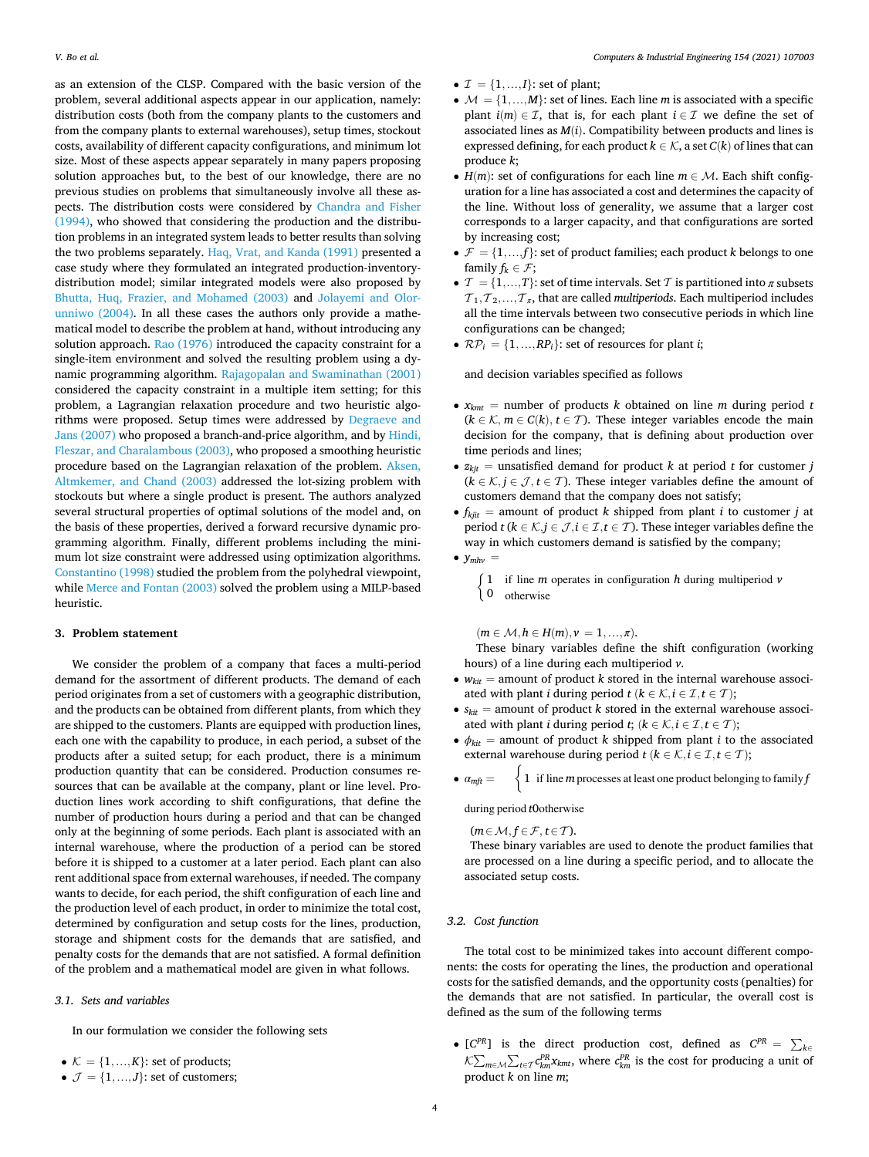<span id="page-3-0"></span>as an extension of the CLSP. Compared with the basic version of the problem, several additional aspects appear in our application, namely: distribution costs (both from the company plants to the customers and from the company plants to external warehouses), setup times, stockout costs, availability of different capacity configurations, and minimum lot size. Most of these aspects appear separately in many papers proposing solution approaches but, to the best of our knowledge, there are no previous studies on problems that simultaneously involve all these aspects. The distribution costs were considered by [Chandra and Fisher](#page-9-0)  [\(1994\),](#page-9-0) who showed that considering the production and the distribution problems in an integrated system leads to better results than solving the two problems separately. [Haq, Vrat, and Kanda \(1991\)](#page-9-0) presented a case study where they formulated an integrated production-inventorydistribution model; similar integrated models were also proposed by [Bhutta, Huq, Frazier, and Mohamed \(2003\)](#page-9-0) and [Jolayemi and Olor](#page-10-0)[unniwo \(2004\).](#page-10-0) In all these cases the authors only provide a mathematical model to describe the problem at hand, without introducing any solution approach. [Rao \(1976\)](#page-10-0) introduced the capacity constraint for a single-item environment and solved the resulting problem using a dynamic programming algorithm. [Rajagopalan and Swaminathan \(2001\)](#page-10-0)  considered the capacity constraint in a multiple item setting; for this problem, a Lagrangian relaxation procedure and two heuristic algorithms were proposed. Setup times were addressed by [Degraeve and](#page-9-0)  [Jans \(2007\)](#page-9-0) who proposed a branch-and-price algorithm, and by [Hindi,](#page-10-0)  [Fleszar, and Charalambous \(2003\),](#page-10-0) who proposed a smoothing heuristic procedure based on the Lagrangian relaxation of the problem. [Aksen,](#page-9-0)  [Altmkemer, and Chand \(2003\)](#page-9-0) addressed the lot-sizing problem with stockouts but where a single product is present. The authors analyzed several structural properties of optimal solutions of the model and, on the basis of these properties, derived a forward recursive dynamic programming algorithm. Finally, different problems including the minimum lot size constraint were addressed using optimization algorithms. [Constantino \(1998\)](#page-9-0) studied the problem from the polyhedral viewpoint, while [Merce and Fontan \(2003\)](#page-10-0) solved the problem using a MILP-based heuristic.

#### **3. Problem statement**

We consider the problem of a company that faces a multi-period demand for the assortment of different products. The demand of each period originates from a set of customers with a geographic distribution, and the products can be obtained from different plants, from which they are shipped to the customers. Plants are equipped with production lines, each one with the capability to produce, in each period, a subset of the products after a suited setup; for each product, there is a minimum production quantity that can be considered. Production consumes resources that can be available at the company, plant or line level. Production lines work according to shift configurations, that define the number of production hours during a period and that can be changed only at the beginning of some periods. Each plant is associated with an internal warehouse, where the production of a period can be stored before it is shipped to a customer at a later period. Each plant can also rent additional space from external warehouses, if needed. The company wants to decide, for each period, the shift configuration of each line and the production level of each product, in order to minimize the total cost, determined by configuration and setup costs for the lines, production, storage and shipment costs for the demands that are satisfied, and penalty costs for the demands that are not satisfied. A formal definition of the problem and a mathematical model are given in what follows.

# *3.1. Sets and variables*

In our formulation we consider the following sets

- $K = \{1, \ldots, K\}$ : set of products;
- $\mathcal{J} = \{1, ..., J\}$ : set of customers;
- $\mathcal{I} = \{1, ..., I\}$ : set of plant;
- $M = \{1, ..., M\}$ : set of lines. Each line *m* is associated with a specific plant  $i(m) \in \mathcal{I}$ , that is, for each plant  $i \in \mathcal{I}$  we define the set of associated lines as *M*(*i*). Compatibility between products and lines is expressed defining, for each product  $k \in \mathcal{K}$ , a set  $C(k)$  of lines that can produce *k*;
- $H(m)$ : set of configurations for each line  $m \in \mathcal{M}$ . Each shift configuration for a line has associated a cost and determines the capacity of the line. Without loss of generality, we assume that a larger cost corresponds to a larger capacity, and that configurations are sorted by increasing cost;
- $\mathcal{F} = \{1, ..., f\}$ : set of product families; each product *k* belongs to one family  $f_k \in \mathcal{F}$ ;
- $\mathcal{T} = \{1, ..., T\}$ : set of time intervals. Set  $\mathcal{T}$  is partitioned into  $\pi$  subsets  $T_1, T_2, \ldots, T_n$ , that are called *multiperiods*. Each multiperiod includes all the time intervals between two consecutive periods in which line configurations can be changed;
- $\mathcal{RP}_i = \{1, \ldots, \mathcal{RP}_i\}$ : set of resources for plant *i*;

and decision variables specified as follows

- $x_{kmt}$  = number of products *k* obtained on line *m* during period *t*  $(k \in \mathcal{K}, m \in C(k), t \in \mathcal{T})$ . These integer variables encode the main decision for the company, that is defining about production over time periods and lines;
- $z_{kit}$  = unsatisfied demand for product *k* at period *t* for customer *j*  $(k \in \mathcal{K}, j \in \mathcal{J}, t \in \mathcal{T})$ . These integer variables define the amount of customers demand that the company does not satisfy;
- $f_{kjit}$  = amount of product *k* shipped from plant *i* to customer *j* at period *t* ( $k \in \mathcal{K}, j \in \mathcal{J}, i \in \mathcal{I}, t \in \mathcal{T}$ ). These integer variables define the way in which customers demand is satisfied by the company;
- $\bullet$   $y_{mlw}$  =
	- { <sup>1</sup> if line *<sup>m</sup>* operates in configuration *<sup>h</sup>* during multiperiod *<sup>v</sup>*
	- 0 otherwise

 $(m \in M, h \in H(m), \nu = 1, ..., \pi).$ 

These binary variables define the shift configuration (working hours) of a line during each multiperiod *v*.

- $w_{kit}$  = amount of product *k* stored in the internal warehouse associated with plant *i* during period  $t$  ( $k \in \mathcal{K}, i \in \mathcal{I}, t \in \mathcal{T}$ );
- $s_{kit}$  = amount of product *k* stored in the external warehouse associated with plant *i* during period *t*; ( $k \in \mathcal{K}, i \in \mathcal{I}, t \in \mathcal{T}$ );
- $\phi_{\text{kit}}$  = amount of product *k* shipped from plant *i* to the associated external warehouse during period  $t$  ( $k \in \mathcal{K}, i \in \mathcal{I}, t \in \mathcal{T}$ );
- $\bullet$   $\alpha_{mft} =$ 1 if line *m* processes at least one product belonging to family *f*

during period *t*0otherwise

 $(m \in \mathcal{M}, f \in \mathcal{F}, t \in \mathcal{T}).$ 

These binary variables are used to denote the product families that are processed on a line during a specific period, and to allocate the associated setup costs.

# *3.2. Cost function*

The total cost to be minimized takes into account different components: the costs for operating the lines, the production and operational costs for the satisfied demands, and the opportunity costs (penalties) for the demands that are not satisfied. In particular, the overall cost is defined as the sum of the following terms

•  $[C^{PR}]$  is the direct production cost, defined as  $C^{PR} = \sum_{k \in \mathbb{Z}}$ <sup>∑</sup> *m*∈ℳ  $\sum_{t \in \mathcal{T}} c_{km}^{PR} x_{kmt}$ , where  $c_{km}^{PR}$  is the cost for producing a unit of product *k* on line *m*;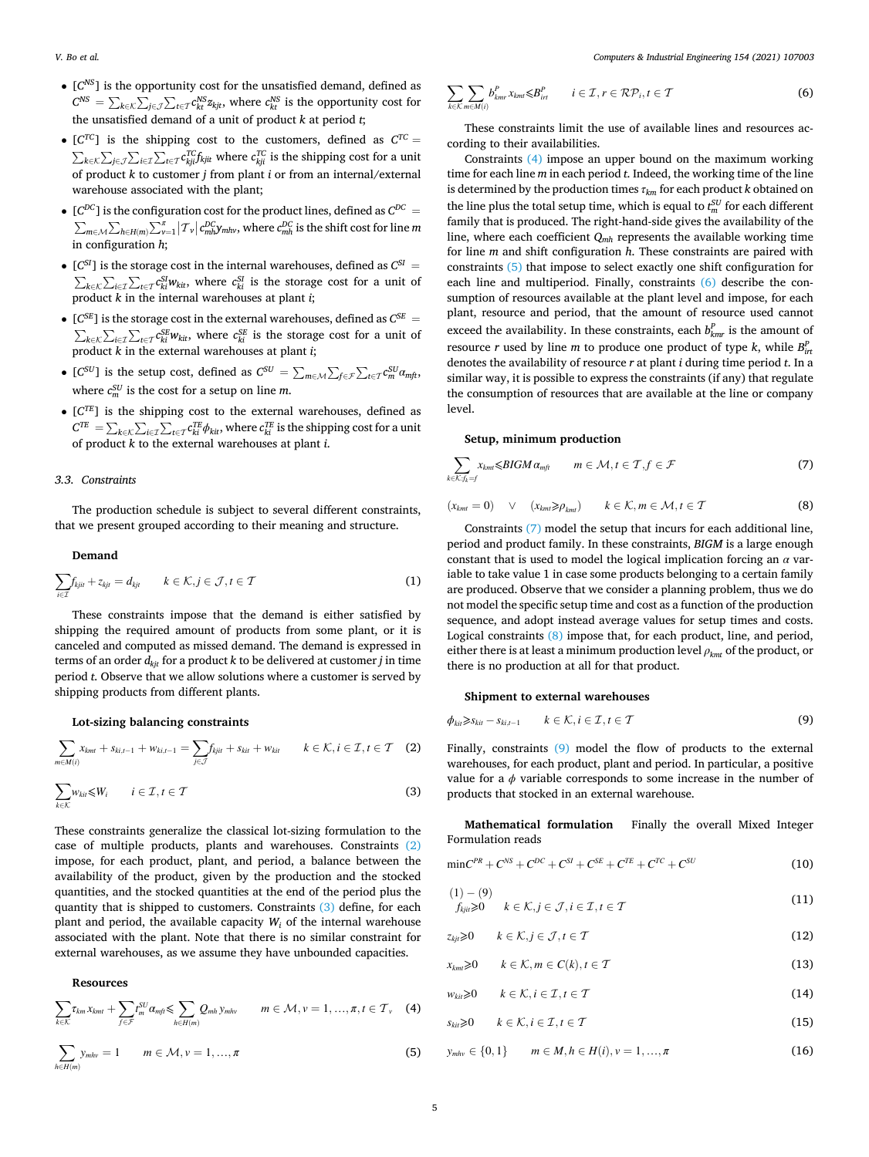- <span id="page-4-0"></span>• [*CNS*] is the opportunity cost for the unsatisfied demand, defined as  $C^{NS} = \sum_{k \in \mathcal{K}}$ ∑ *j*∈  $\sum_{t \in \mathcal{T}} c_{kt}^{NS} z_{kjt}$ , where  $c_{kt}^{NS}$  is the opportunity cost for the unsatisfied demand of a unit of product *k* at period *t*;
- $[C^{TC}]$  is the shipping cost to the customers, defined as  $C^{TC}$  = *k*∈ ∑ *j*∈ ∑ *i*∈ℐ  $\sum_{t \in \mathcal{T}} c_{kji}^{TC} f_{kjit}^{C}$  where  $c_{kji}^{TC}$  is the shipping cost for a unit of product *k* to customer *j* from plant *i* or from an internal/external warehouse associated with the plant;
- $[C^{DC}]$  is the configuration cost for the product lines, defined as  $C^{DC}$  = *m*∈ℳ ∑  $h \in H(m) \sum_{\nu=1}^{\pi}$  $|T_v| c_{mh}^{DC} y_{mhw}$ , where  $c_{mh}^{DC}$  is the shift cost for line *m* in configuration *h*;
- $[C^{SI}]$  is the storage cost in the internal warehouses, defined as  $C^{SI}$  = *k*∈ ∑ *i*∈ℐ  $\sum_{t \in \mathcal{T}} c_{ki}^{SI} w_{kit}$ , where  $c_{ki}^{SI}$  is the storage cost for a unit of product *k* in the internal warehouses at plant *i*;
- $[C^{SE}]$  is the storage cost in the external warehouses, defined as  $C^{SE}$  = *k*∈ ∑ *i*∈ℐ  $\sum_{t \in \mathcal{T}} c_{kt}^{SE} w_{kit}$ , where  $c_{kt}^{SE}$  is the storage cost for a unit of product *k* in the external warehouses at plant *i*;
- $[C^{SU}]$  is the setup cost, defined as  $C^{SU} = \sum_{m \in \mathcal{M}}$ ∑ *f*∈ℱ  $\sum_{t \in \mathcal{T}} c_m^{SU} a_{mft}$ where  $c_m^{SU}$  is the cost for a setup on line *m*.
- [*CTE*] is the shipping cost to the external warehouses, defined as  $C^{TE} = \sum_{k \in \mathcal{K}}$ ∑ *i*∈ℐ  $\sum_{t \in \mathcal{T}} c_{ki}^{TE} \phi_{kit}$ , where  $c_{kt}^{TE}$  is the shipping cost for a unit of product *k* to the external warehouses at plant *i*.

## *3.3. Constraints*

The production schedule is subject to several different constraints, that we present grouped according to their meaning and structure.

## **Demand**

$$
\sum_{i\in\mathcal{I}} f_{kji} + z_{kji} = d_{kji} \qquad k\in\mathcal{K}, j\in\mathcal{J}, t\in\mathcal{T}
$$
 (1)

These constraints impose that the demand is either satisfied by shipping the required amount of products from some plant, or it is canceled and computed as missed demand. The demand is expressed in terms of an order *dkjt* for a product *k* to be delivered at customer *j* in time period *t*. Observe that we allow solutions where a customer is served by shipping products from different plants.

## **Lot-sizing balancing constraints**

$$
\sum_{m \in M(i)} x_{kmt} + s_{ki,t-1} + w_{ki,t-1} = \sum_{j \in \mathcal{J}} f_{kjit} + s_{kit} + w_{kit} \qquad k \in \mathcal{K}, i \in \mathcal{I}, t \in \mathcal{T} \quad (2)
$$

$$
\sum_{k \in \mathcal{K}} w_{ki} \le W_i \qquad i \in \mathcal{I}, t \in \mathcal{T}
$$
 (3)

These constraints generalize the classical lot-sizing formulation to the case of multiple products, plants and warehouses. Constraints (2) impose, for each product, plant, and period, a balance between the availability of the product, given by the production and the stocked quantities, and the stocked quantities at the end of the period plus the quantity that is shipped to customers. Constraints (3) define, for each plant and period, the available capacity  $W_i$  of the internal warehouse associated with the plant. Note that there is no similar constraint for external warehouses, as we assume they have unbounded capacities.

## **Resources**

$$
\sum_{k\in\mathcal{K}}\tau_{km}x_{kmt}+\sum_{f\in\mathcal{F}}f_{m}^{SU}\alpha_{mft}\leq \sum_{h\in H(m)}Q_{mh}y_{mhv} \qquad m\in\mathcal{M}, v=1,\ldots,\pi, t\in\mathcal{T}_{v} \quad (4)
$$

$$
\sum_{h \in H(m)} y_{mhv} = 1 \qquad m \in \mathcal{M}, v = 1, ..., \pi
$$
 (5)

$$
\sum_{k \in \mathcal{K}} \sum_{m \in M(i)} b_{kmr}^P x_{kml} \leq B_{irt}^P \qquad i \in \mathcal{I}, r \in \mathcal{RP}_i, t \in \mathcal{T}
$$
 (6)

These constraints limit the use of available lines and resources according to their availabilities.

Constraints (4) impose an upper bound on the maximum working time for each line *m* in each period *t*. Indeed, the working time of the line is determined by the production times *τkm* for each product *k* obtained on the line plus the total setup time, which is equal to  $t_m^{SU}$  for each different family that is produced. The right-hand-side gives the availability of the line, where each coefficient *Qmh* represents the available working time for line *m* and shift configuration *h*. These constraints are paired with constraints (5) that impose to select exactly one shift configuration for each line and multiperiod. Finally, constraints (6) describe the consumption of resources available at the plant level and impose, for each plant, resource and period, that the amount of resource used cannot exceed the availability. In these constraints, each  $b_{kmr}^P$  is the amount of resource *r* used by line *m* to produce one product of type *k*, while  $B_{int}^p$ denotes the availability of resource *r* at plant *i* during time period *t*. In a similar way, it is possible to express the constraints (if any) that regulate the consumption of resources that are available at the line or company level.

#### **Setup, minimum production**

$$
\sum_{k \in \mathcal{K}: f_k = f} x_{km} \leq BIGM \alpha_{mft} \qquad m \in \mathcal{M}, t \in \mathcal{T}, f \in \mathcal{F}
$$
 (7)

$$
(x_{kmt} = 0) \quad \vee \quad (x_{kmt} \ge \rho_{kmt}) \qquad k \in \mathcal{K}, m \in \mathcal{M}, t \in \mathcal{T}
$$
 (8)

Constraints (7) model the setup that incurs for each additional line, period and product family. In these constraints, *BIGM* is a large enough constant that is used to model the logical implication forcing an *α* variable to take value 1 in case some products belonging to a certain family are produced. Observe that we consider a planning problem, thus we do not model the specific setup time and cost as a function of the production sequence, and adopt instead average values for setup times and costs. Logical constraints (8) impose that, for each product, line, and period, either there is at least a minimum production level *ρkmt* of the product, or there is no production at all for that product.

#### **Shipment to external warehouses**

$$
\phi_{ki} \geq s_{ki} - s_{ki,t-1} \qquad k \in \mathcal{K}, i \in \mathcal{I}, t \in \mathcal{T}
$$
\n
$$
(9)
$$

Finally, constraints (9) model the flow of products to the external warehouses, for each product, plant and period. In particular, a positive value for a  $\phi$  variable corresponds to some increase in the number of products that stocked in an external warehouse.

**Mathematical formulation** Finally the overall Mixed Integer Formulation reads

$$
\min C^{PR} + C^{NS} + C^{DC} + C^{SI} + C^{SE} + C^{TE} + C^{TC} + C^{SU} \tag{10}
$$

$$
(1) - (9)
$$
  
\n
$$
f_{kji} \geq 0 \qquad k \in \mathcal{K}, j \in \mathcal{J}, i \in \mathcal{I}, t \in \mathcal{T}
$$
\n
$$
(11)
$$

$$
z_{kj} \geq 0 \qquad k \in \mathcal{K}, j \in \mathcal{J}, t \in \mathcal{T} \tag{12}
$$

$$
x_{kmt} \geq 0 \qquad k \in \mathcal{K}, m \in C(k), t \in \mathcal{T}
$$
\n
$$
(13)
$$

$$
w_{ki} \geqslant 0 \qquad k \in \mathcal{K}, i \in \mathcal{I}, t \in \mathcal{T} \tag{14}
$$

$$
s_{\text{kit}} \geq 0 \qquad k \in \mathcal{K}, i \in \mathcal{I}, t \in \mathcal{T} \tag{15}
$$

$$
y_{mhv} \in \{0, 1\} \qquad m \in M, h \in H(i), v = 1, ..., \pi
$$
 (16)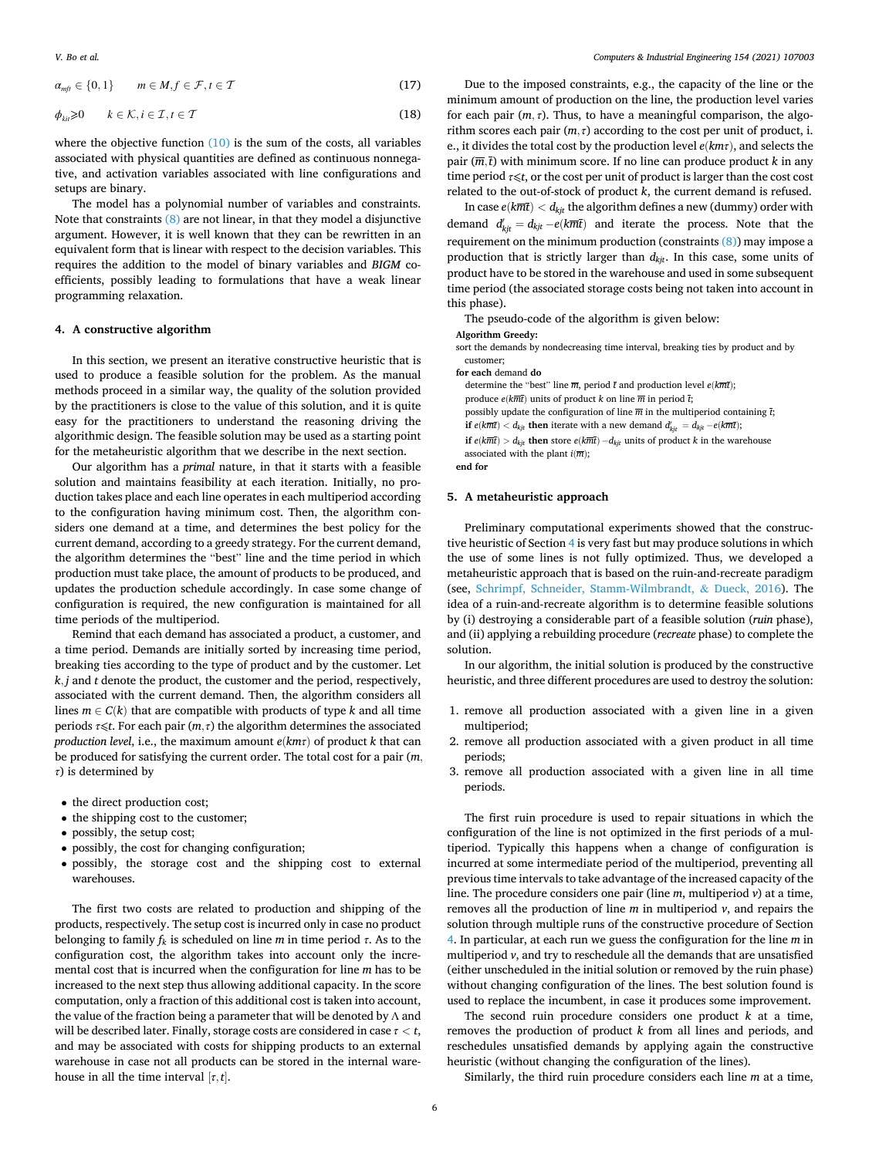<span id="page-5-0"></span>
$$
\alpha_{mft} \in \{0, 1\} \qquad m \in M, f \in \mathcal{F}, t \in \mathcal{T} \tag{17}
$$

$$
\phi_{\text{kii}} \geq 0 \qquad k \in \mathcal{K}, i \in \mathcal{I}, t \in \mathcal{T} \tag{18}
$$

where the objective function  $(10)$  is the sum of the costs, all variables associated with physical quantities are defined as continuous nonnegative, and activation variables associated with line configurations and setups are binary.

The model has a polynomial number of variables and constraints. Note that constraints  $(8)$  are not linear, in that they model a disjunctive argument. However, it is well known that they can be rewritten in an equivalent form that is linear with respect to the decision variables. This requires the addition to the model of binary variables and *BIGM* coefficients, possibly leading to formulations that have a weak linear programming relaxation.

## **4. A constructive algorithm**

In this section, we present an iterative constructive heuristic that is used to produce a feasible solution for the problem. As the manual methods proceed in a similar way, the quality of the solution provided by the practitioners is close to the value of this solution, and it is quite easy for the practitioners to understand the reasoning driving the algorithmic design. The feasible solution may be used as a starting point for the metaheuristic algorithm that we describe in the next section.

Our algorithm has a *primal* nature, in that it starts with a feasible solution and maintains feasibility at each iteration. Initially, no production takes place and each line operates in each multiperiod according to the configuration having minimum cost. Then, the algorithm considers one demand at a time, and determines the best policy for the current demand, according to a greedy strategy. For the current demand, the algorithm determines the "best" line and the time period in which production must take place, the amount of products to be produced, and updates the production schedule accordingly. In case some change of configuration is required, the new configuration is maintained for all time periods of the multiperiod.

Remind that each demand has associated a product, a customer, and a time period. Demands are initially sorted by increasing time period, breaking ties according to the type of product and by the customer. Let *k, j* and *t* denote the product, the customer and the period, respectively, associated with the current demand. Then, the algorithm considers all lines  $m \in C(k)$  that are compatible with products of type  $k$  and all time periods  $\tau \leq t$ . For each pair  $(m, \tau)$  the algorithm determines the associated *production level*, i.e., the maximum amount *e*(*kmτ*) of product *k* that can be produced for satisfying the current order. The total cost for a pair (*m, τ*) is determined by

- the direct production cost;
- the shipping cost to the customer;
- possibly, the setup cost;
- possibly, the cost for changing configuration;
- possibly, the storage cost and the shipping cost to external warehouses.

The first two costs are related to production and shipping of the products, respectively. The setup cost is incurred only in case no product belonging to family  $f_k$  is scheduled on line  $m$  in time period  $\tau$ . As to the configuration cost, the algorithm takes into account only the incremental cost that is incurred when the configuration for line *m* has to be increased to the next step thus allowing additional capacity. In the score computation, only a fraction of this additional cost is taken into account, the value of the fraction being a parameter that will be denoted by Λ and will be described later. Finally, storage costs are considered in case *τ < t*, and may be associated with costs for shipping products to an external warehouse in case not all products can be stored in the internal warehouse in all the time interval  $[\tau, t]$ .

Due to the imposed constraints, e.g., the capacity of the line or the minimum amount of production on the line, the production level varies for each pair  $(m, \tau)$ . Thus, to have a meaningful comparison, the algorithm scores each pair  $(m, \tau)$  according to the cost per unit of product, i. e., it divides the total cost by the production level *e*(*kmτ*), and selects the pair  $(\overline{m}, \overline{t})$  with minimum score. If no line can produce product *k* in any time period *τ*⩽*t*, or the cost per unit of product is larger than the cost cost related to the out-of-stock of product *k*, the current demand is refused.

In case  $e(k\overline{m}\overline{t}) < d_{kit}$  the algorithm defines a new (dummy) order with demand  $d'_{kjt} = d_{kjt} - e(k\overline{m}\overline{t})$  and iterate the process. Note that the requirement on the minimum production (constraints  $(8)$ ) may impose a production that is strictly larger than  $d_{kit}$ . In this case, some units of product have to be stored in the warehouse and used in some subsequent time period (the associated storage costs being not taken into account in this phase).

The pseudo-code of the algorithm is given below:

**Algorithm Greedy:** 

sort the demands by nondecreasing time interval, breaking ties by product and by customer;

**for each** demand **do** 

determine the "best" line  $\overline{m}$ , period  $\overline{t}$  and production level  $e(k\overline{m}\overline{t})$ ; produce  $e(k\overline{m}t)$  units of product *k* on line  $\overline{m}$  in period  $\overline{t}$ ; possibly update the configuration of line  $\overline{m}$  in the multiperiod containing  $\overline{t}$ ; **if**  $e(k\overline{m}\overline{t}) < d_{kjt}$  **then** iterate with a new demand  $d'_{kjt} = d_{kjt} - e(k\overline{m}\overline{t})$ ; **if**  $e(k\overline{m}\overline{t}) > d_{kjt}$  **then** store  $e(k\overline{m}\overline{t}) - d_{kjt}$  units of product *k* in the warehouse associated with the plant  $i(\overline{m})$ ; **end for** 

## **5. A metaheuristic approach**

Preliminary computational experiments showed that the constructive heuristic of Section 4 is very fast but may produce solutions in which the use of some lines is not fully optimized. Thus, we developed a metaheuristic approach that is based on the ruin-and-recreate paradigm (see, [Schrimpf, Schneider, Stamm-Wilmbrandt,](#page-10-0) & Dueck, 2016). The idea of a ruin-and-recreate algorithm is to determine feasible solutions by (i) destroying a considerable part of a feasible solution (*ruin* phase), and (ii) applying a rebuilding procedure (*recreate* phase) to complete the solution.

In our algorithm, the initial solution is produced by the constructive heuristic, and three different procedures are used to destroy the solution:

- 1. remove all production associated with a given line in a given multiperiod;
- 2. remove all production associated with a given product in all time periods;
- 3. remove all production associated with a given line in all time periods.

The first ruin procedure is used to repair situations in which the configuration of the line is not optimized in the first periods of a multiperiod. Typically this happens when a change of configuration is incurred at some intermediate period of the multiperiod, preventing all previous time intervals to take advantage of the increased capacity of the line. The procedure considers one pair (line *m*, multiperiod *v*) at a time, removes all the production of line *m* in multiperiod *v*, and repairs the solution through multiple runs of the constructive procedure of Section 4. In particular, at each run we guess the configuration for the line *m* in multiperiod *v*, and try to reschedule all the demands that are unsatisfied (either unscheduled in the initial solution or removed by the ruin phase) without changing configuration of the lines. The best solution found is used to replace the incumbent, in case it produces some improvement.

The second ruin procedure considers one product *k* at a time, removes the production of product *k* from all lines and periods, and reschedules unsatisfied demands by applying again the constructive heuristic (without changing the configuration of the lines).

Similarly, the third ruin procedure considers each line *m* at a time,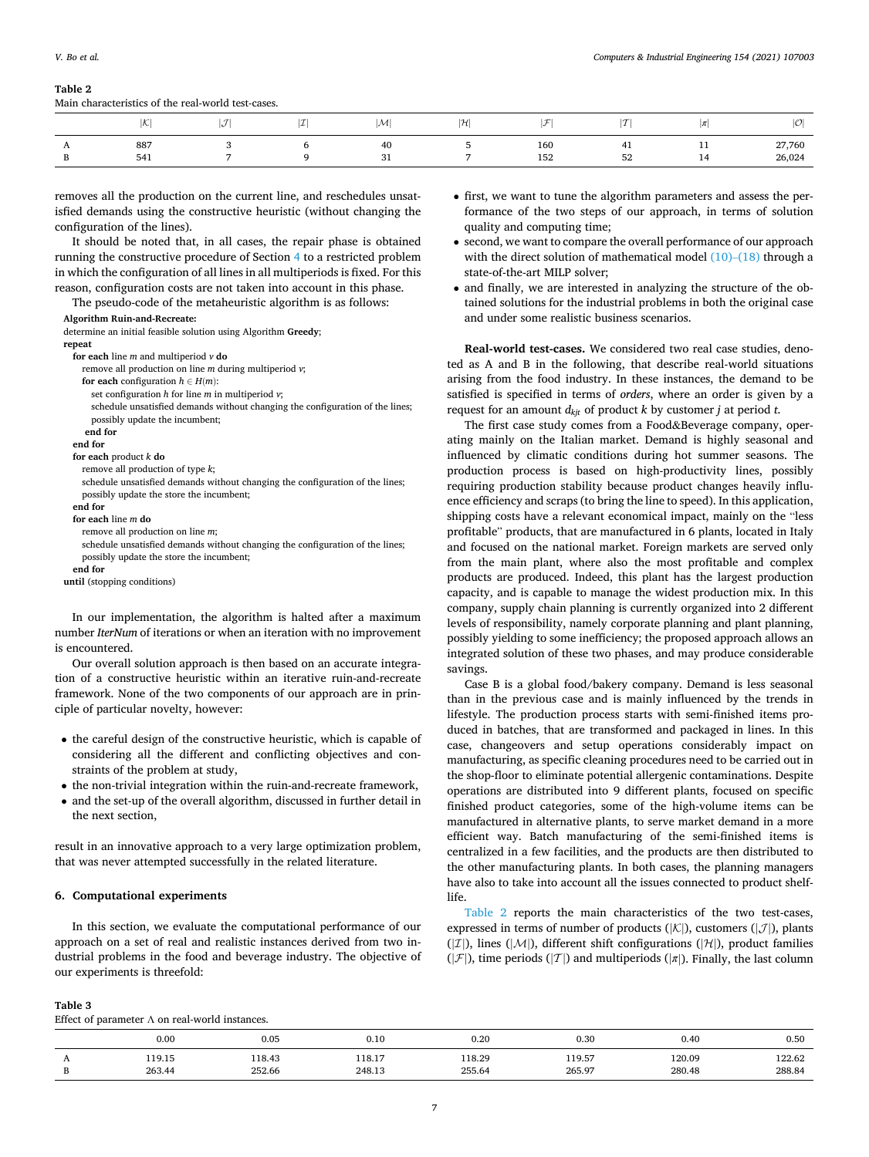#### *Computers & Industrial Engineering 154 (2021) 107003*

# <span id="page-6-0"></span>**Table 2**

| Main characteristics of the real-world test-cases. |  |  |  |
|----------------------------------------------------|--|--|--|
|                                                    |  |  |  |

|                      | الصورا<br>∪ | $\tau$<br>w | 271<br>ı | M         | H              | $\tau$     | $\tau$<br>. .              | $^{\prime\prime}$    | $100^{\circ}$<br>,U |
|----------------------|-------------|-------------|----------|-----------|----------------|------------|----------------------------|----------------------|---------------------|
| $\overline{1}$<br>л. | 887<br>541  |             |          | -40<br>31 | $\overline{a}$ | 160<br>152 | $\overline{a}$<br>ℸ∸<br>52 | . .<br>. .<br>$\sim$ | 27,760<br>26,024    |

removes all the production on the current line, and reschedules unsatisfied demands using the constructive heuristic (without changing the configuration of the lines).

It should be noted that, in all cases, the repair phase is obtained running the constructive procedure of Section [4](#page-5-0) to a restricted problem in which the configuration of all lines in all multiperiods is fixed. For this reason, configuration costs are not taken into account in this phase.

The pseudo-code of the metaheuristic algorithm is as follows:

#### **Algorithm Ruin-and-Recreate:**

| determine an initial feasible solution using Algorithm Greedy;                                                                                                                                                                    |
|-----------------------------------------------------------------------------------------------------------------------------------------------------------------------------------------------------------------------------------|
| repeat                                                                                                                                                                                                                            |
| for each line $m$ and multiperiod $v$ do                                                                                                                                                                                          |
| remove all production on line $m$ during multiperiod $v$ ;                                                                                                                                                                        |
| for each configuration $h \in H(m)$ :                                                                                                                                                                                             |
| set configuration $h$ for line $m$ in multiperiod $v$ ;                                                                                                                                                                           |
| schedule unsatisfied demands without changing the configuration of the lines;                                                                                                                                                     |
| possibly update the incumbent;                                                                                                                                                                                                    |
| end for                                                                                                                                                                                                                           |
| end for                                                                                                                                                                                                                           |
| for each product $k$ do                                                                                                                                                                                                           |
| remove all production of type $k$ ;                                                                                                                                                                                               |
| schedule unsatisfied demands without changing the configuration of the lines;                                                                                                                                                     |
| possibly update the store the incumbent;                                                                                                                                                                                          |
| end for                                                                                                                                                                                                                           |
| for each line m do                                                                                                                                                                                                                |
| remove all production on line m;                                                                                                                                                                                                  |
| schedule unsatisfied demands without changing the configuration of the lines;                                                                                                                                                     |
| possibly update the store the incumbent;                                                                                                                                                                                          |
| end for                                                                                                                                                                                                                           |
| until (stopping conditions)                                                                                                                                                                                                       |
|                                                                                                                                                                                                                                   |
| $\mathbf{r}$ , and the contract of the contract of the contract of the contract of the contract of the contract of the contract of the contract of the contract of the contract of the contract of the contract of the contract o |

In our implementation, the algorithm is halted after a maximum number *IterNum* of iterations or when an iteration with no improvement is encountered.

Our overall solution approach is then based on an accurate integration of a constructive heuristic within an iterative ruin-and-recreate framework. None of the two components of our approach are in principle of particular novelty, however:

- the careful design of the constructive heuristic, which is capable of considering all the different and conflicting objectives and constraints of the problem at study,
- the non-trivial integration within the ruin-and-recreate framework,
- and the set-up of the overall algorithm, discussed in further detail in the next section,

result in an innovative approach to a very large optimization problem, that was never attempted successfully in the related literature.

#### **6. Computational experiments**

In this section, we evaluate the computational performance of our approach on a set of real and realistic instances derived from two industrial problems in the food and beverage industry. The objective of our experiments is threefold:

- first, we want to tune the algorithm parameters and assess the performance of the two steps of our approach, in terms of solution quality and computing time;
- second, we want to compare the overall performance of our approach with the direct solution of mathematical model  $(10)$ – $(18)$  through a state-of-the-art MILP solver;
- and finally, we are interested in analyzing the structure of the obtained solutions for the industrial problems in both the original case and under some realistic business scenarios.

**Real-world test-cases.** We considered two real case studies, denoted as A and B in the following, that describe real-world situations arising from the food industry. In these instances, the demand to be satisfied is specified in terms of *orders*, where an order is given by a request for an amount  $d_{kit}$  of product  $k$  by customer  $j$  at period  $t$ .

The first case study comes from a Food&Beverage company, operating mainly on the Italian market. Demand is highly seasonal and influenced by climatic conditions during hot summer seasons. The production process is based on high-productivity lines, possibly requiring production stability because product changes heavily influence efficiency and scraps (to bring the line to speed). In this application, shipping costs have a relevant economical impact, mainly on the "less profitable" products, that are manufactured in 6 plants, located in Italy and focused on the national market. Foreign markets are served only from the main plant, where also the most profitable and complex products are produced. Indeed, this plant has the largest production capacity, and is capable to manage the widest production mix. In this company, supply chain planning is currently organized into 2 different levels of responsibility, namely corporate planning and plant planning, possibly yielding to some inefficiency; the proposed approach allows an integrated solution of these two phases, and may produce considerable savings.

Case B is a global food/bakery company. Demand is less seasonal than in the previous case and is mainly influenced by the trends in lifestyle. The production process starts with semi-finished items produced in batches, that are transformed and packaged in lines. In this case, changeovers and setup operations considerably impact on manufacturing, as specific cleaning procedures need to be carried out in the shop-floor to eliminate potential allergenic contaminations. Despite operations are distributed into 9 different plants, focused on specific finished product categories, some of the high-volume items can be manufactured in alternative plants, to serve market demand in a more efficient way. Batch manufacturing of the semi-finished items is centralized in a few facilities, and the products are then distributed to the other manufacturing plants. In both cases, the planning managers have also to take into account all the issues connected to product shelflife.

Table 2 reports the main characteristics of the two test-cases, expressed in terms of number of products ( $|K|$ ), customers ( $|J|$ ), plants ( $|\mathcal{I}|$ ), lines ( $|\mathcal{M}|$ ), different shift configurations ( $|\mathcal{H}|$ ), product families ( $|\mathcal{F}|$ ), time periods ( $|\mathcal{T}|$ ) and multiperiods ( $|\pi|$ ). Finally, the last column

| Table 3                                                |
|--------------------------------------------------------|
| Effect of parameter $\Lambda$ on real-world instances. |

| fect of parameter $\Lambda$ on real-world instances. |        |        |        |        |        |        |  |  |  |
|------------------------------------------------------|--------|--------|--------|--------|--------|--------|--|--|--|
| 0.00                                                 | 0.05   | 0.10   | 0.20   | 0.30   | 0.40   | 0.50   |  |  |  |
| 119.15                                               | 118.43 | 118.17 | 118.29 | 119.57 | 120.09 | 122.62 |  |  |  |
| 263.44                                               | 252.66 | 248.13 | 255.64 | 265.97 | 280.48 | 288.84 |  |  |  |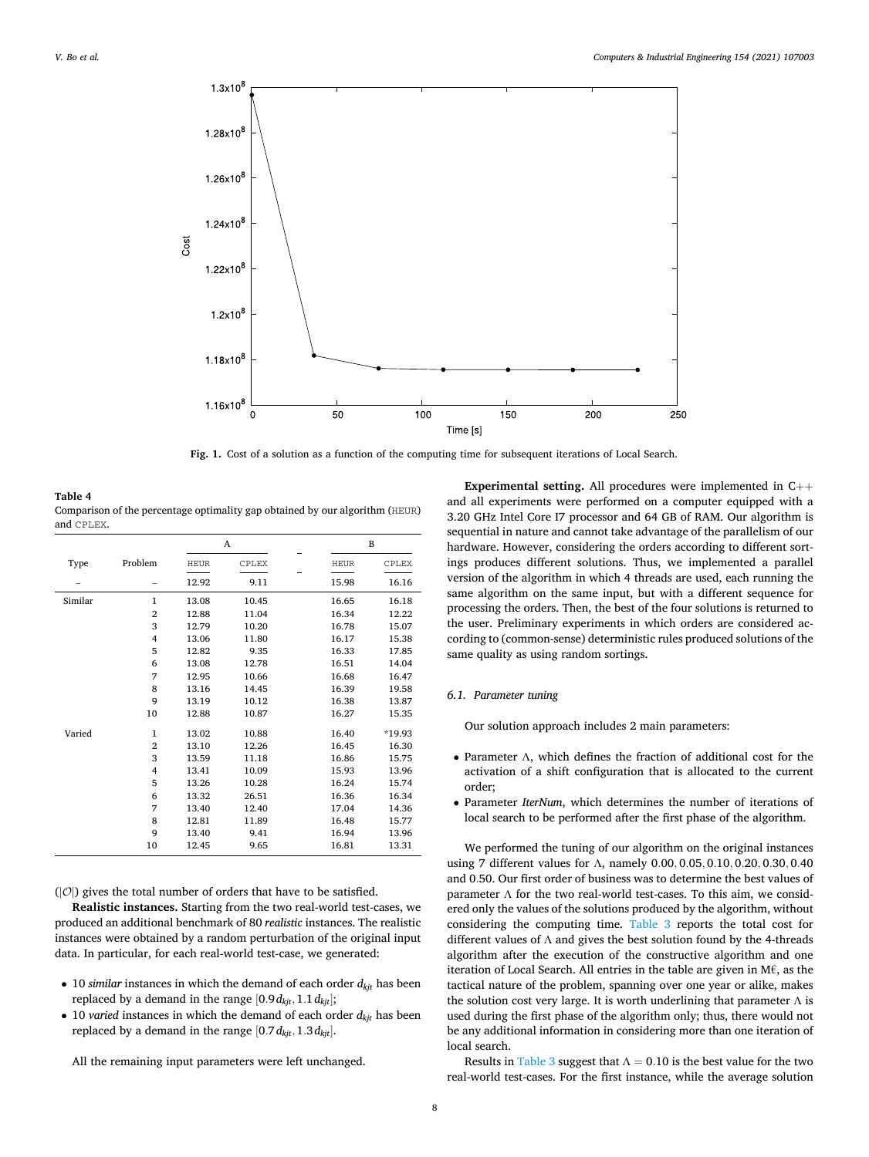<span id="page-7-0"></span>

**Fig. 1.** Cost of a solution as a function of the computing time for subsequent iterations of Local Search.

| Table 4                                                                      |
|------------------------------------------------------------------------------|
| Comparison of the percentage optimality gap obtained by our algorithm (HEUR) |
| and CPLEX.                                                                   |

|         |                |             | A     |             | B      |
|---------|----------------|-------------|-------|-------------|--------|
| Type    | Problem        | <b>HEUR</b> | CPLEX | <b>HEUR</b> | CPLEX  |
|         |                | 12.92       | 9.11  | 15.98       | 16.16  |
| Similar | 1              | 13.08       | 10.45 | 16.65       | 16.18  |
|         | $\overline{2}$ | 12.88       | 11.04 | 16.34       | 12.22  |
|         | 3              | 12.79       | 10.20 | 16.78       | 15.07  |
|         | 4              | 13.06       | 11.80 | 16.17       | 15.38  |
|         | 5              | 12.82       | 9.35  | 16.33       | 17.85  |
|         | 6              | 13.08       | 12.78 | 16.51       | 14.04  |
|         | 7              | 12.95       | 10.66 | 16.68       | 16.47  |
|         | 8              | 13.16       | 14.45 | 16.39       | 19.58  |
|         | 9              | 13.19       | 10.12 | 16.38       | 13.87  |
|         | 10             | 12.88       | 10.87 | 16.27       | 15.35  |
| Varied  | 1              | 13.02       | 10.88 | 16.40       | *19.93 |
|         | $\overline{2}$ | 13.10       | 12.26 | 16.45       | 16.30  |
|         | 3              | 13.59       | 11.18 | 16.86       | 15.75  |
|         | 4              | 13.41       | 10.09 | 15.93       | 13.96  |
|         | 5              | 13.26       | 10.28 | 16.24       | 15.74  |
|         | 6              | 13.32       | 26.51 | 16.36       | 16.34  |
|         | 7              | 13.40       | 12.40 | 17.04       | 14.36  |
|         | 8              | 12.81       | 11.89 | 16.48       | 15.77  |
|         | 9              | 13.40       | 9.41  | 16.94       | 13.96  |
|         | 10             | 12.45       | 9.65  | 16.81       | 13.31  |

 $(|\mathcal{O}|)$  gives the total number of orders that have to be satisfied.

**Realistic instances.** Starting from the two real-world test-cases, we produced an additional benchmark of 80 *realistic* instances. The realistic instances were obtained by a random perturbation of the original input data. In particular, for each real-world test-case, we generated:

- 10 *similar* instances in which the demand of each order  $d_{kji}$  has been replaced by a demand in the range  $[0.9d_{kjt}, 1.1d_{kjt}]$ ;
- 10 *varied* instances in which the demand of each order  $d_{kji}$  has been replaced by a demand in the range [0*.*7*dkjt,*1*.*3*dkjt*].

All the remaining input parameters were left unchanged.

**Experimental setting.** All procedures were implemented in C++ and all experiments were performed on a computer equipped with a 3.20 GHz Intel Core I7 processor and 64 GB of RAM. Our algorithm is sequential in nature and cannot take advantage of the parallelism of our hardware. However, considering the orders according to different sortings produces different solutions. Thus, we implemented a parallel version of the algorithm in which 4 threads are used, each running the same algorithm on the same input, but with a different sequence for processing the orders. Then, the best of the four solutions is returned to the user. Preliminary experiments in which orders are considered according to (common-sense) deterministic rules produced solutions of the same quality as using random sortings.

## *6.1. Parameter tuning*

Our solution approach includes 2 main parameters:

- Parameter Λ, which defines the fraction of additional cost for the activation of a shift configuration that is allocated to the current order;
- Parameter *IterNum*, which determines the number of iterations of local search to be performed after the first phase of the algorithm.

We performed the tuning of our algorithm on the original instances using 7 different values for Λ, namely 0*.*00*,* 0*.*05*,* 0*.*10*,* 0*.*20*,* 0*.*30*,* 0*.*40 and 0*.*50. Our first order of business was to determine the best values of parameter Λ for the two real-world test-cases. To this aim, we considered only the values of the solutions produced by the algorithm, without considering the computing time. [Table 3](#page-6-0) reports the total cost for different values of  $\Lambda$  and gives the best solution found by the 4-threads algorithm after the execution of the constructive algorithm and one iteration of Local Search. All entries in the table are given in M€, as the tactical nature of the problem, spanning over one year or alike, makes the solution cost very large. It is worth underlining that parameter  $\Lambda$  is used during the first phase of the algorithm only; thus, there would not be any additional information in considering more than one iteration of local search.

Results in [Table 3](#page-6-0) suggest that  $\Lambda = 0.10$  is the best value for the two real-world test-cases. For the first instance, while the average solution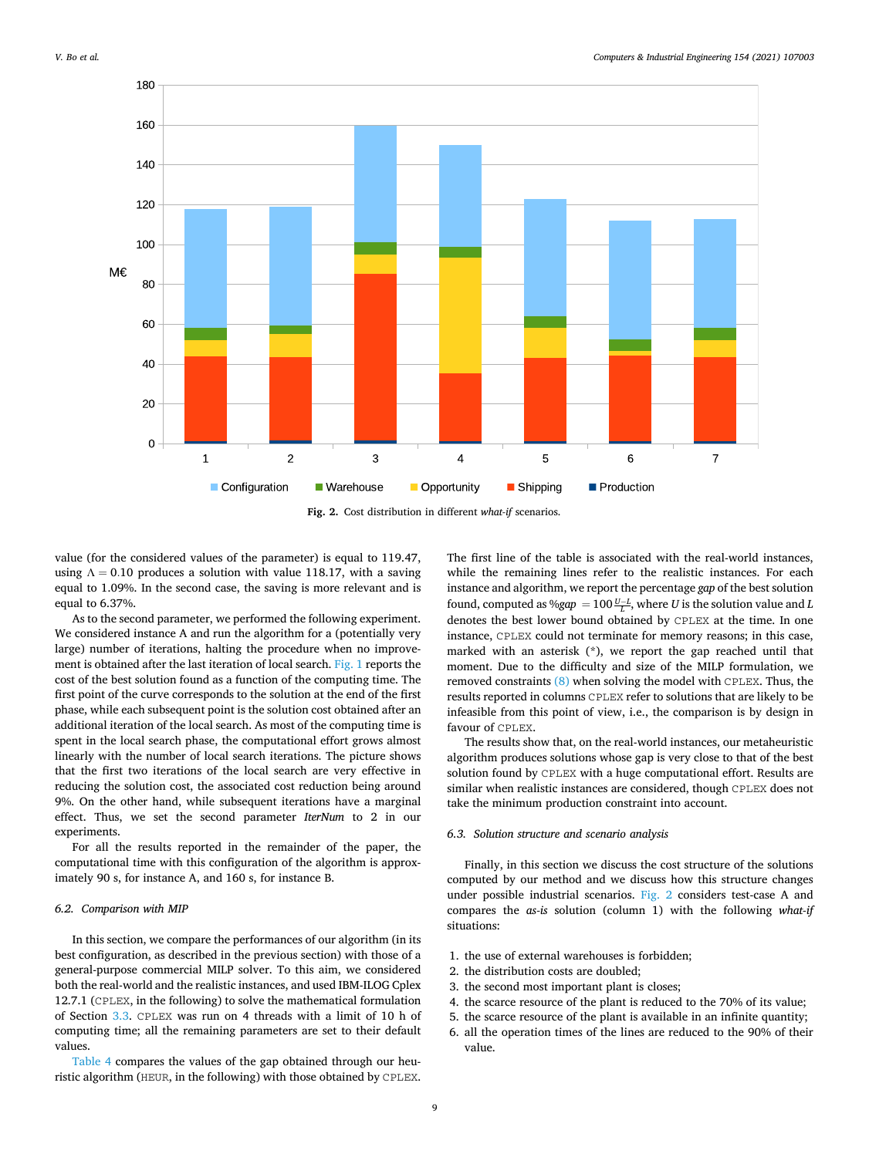

value (for the considered values of the parameter) is equal to 119.47, using  $\Lambda = 0.10$  produces a solution with value 118.17, with a saving equal to 1.09%. In the second case, the saving is more relevant and is equal to 6.37%.

As to the second parameter, we performed the following experiment. We considered instance A and run the algorithm for a (potentially very large) number of iterations, halting the procedure when no improvement is obtained after the last iteration of local search. [Fig. 1](#page-7-0) reports the cost of the best solution found as a function of the computing time. The first point of the curve corresponds to the solution at the end of the first phase, while each subsequent point is the solution cost obtained after an additional iteration of the local search. As most of the computing time is spent in the local search phase, the computational effort grows almost linearly with the number of local search iterations. The picture shows that the first two iterations of the local search are very effective in reducing the solution cost, the associated cost reduction being around 9%. On the other hand, while subsequent iterations have a marginal effect. Thus, we set the second parameter *IterNum* to 2 in our experiments.

For all the results reported in the remainder of the paper, the computational time with this configuration of the algorithm is approximately 90 s, for instance A, and 160 s, for instance B.

## *6.2. Comparison with MIP*

In this section, we compare the performances of our algorithm (in its best configuration, as described in the previous section) with those of a general-purpose commercial MILP solver. To this aim, we considered both the real-world and the realistic instances, and used IBM-ILOG Cplex 12.7.1 (CPLEX, in the following) to solve the mathematical formulation of Section [3.3](#page-4-0). CPLEX was run on 4 threads with a limit of 10 h of computing time; all the remaining parameters are set to their default values.

[Table 4](#page-7-0) compares the values of the gap obtained through our heuristic algorithm (HEUR, in the following) with those obtained by CPLEX.

The first line of the table is associated with the real-world instances, while the remaining lines refer to the realistic instances. For each instance and algorithm, we report the percentage *gap* of the best solution found, computed as % $gap = 100 \frac{U-L}{L}$ , where *U* is the solution value and *L* denotes the best lower bound obtained by CPLEX at the time. In one instance, CPLEX could not terminate for memory reasons; in this case, marked with an asterisk (\*), we report the gap reached until that moment. Due to the difficulty and size of the MILP formulation, we removed constraints [\(8\)](#page-4-0) when solving the model with CPLEX. Thus, the results reported in columns CPLEX refer to solutions that are likely to be infeasible from this point of view, i.e., the comparison is by design in favour of CPLEX.

The results show that, on the real-world instances, our metaheuristic algorithm produces solutions whose gap is very close to that of the best solution found by CPLEX with a huge computational effort. Results are similar when realistic instances are considered, though CPLEX does not take the minimum production constraint into account.

### *6.3. Solution structure and scenario analysis*

Finally, in this section we discuss the cost structure of the solutions computed by our method and we discuss how this structure changes under possible industrial scenarios. Fig. 2 considers test-case A and compares the *as-is* solution (column 1) with the following *what-if*  situations:

- 1. the use of external warehouses is forbidden;
- 2. the distribution costs are doubled;
- 3. the second most important plant is closes;
- 4. the scarce resource of the plant is reduced to the 70% of its value;
- 5. the scarce resource of the plant is available in an infinite quantity;
- 6. all the operation times of the lines are reduced to the 90% of their value.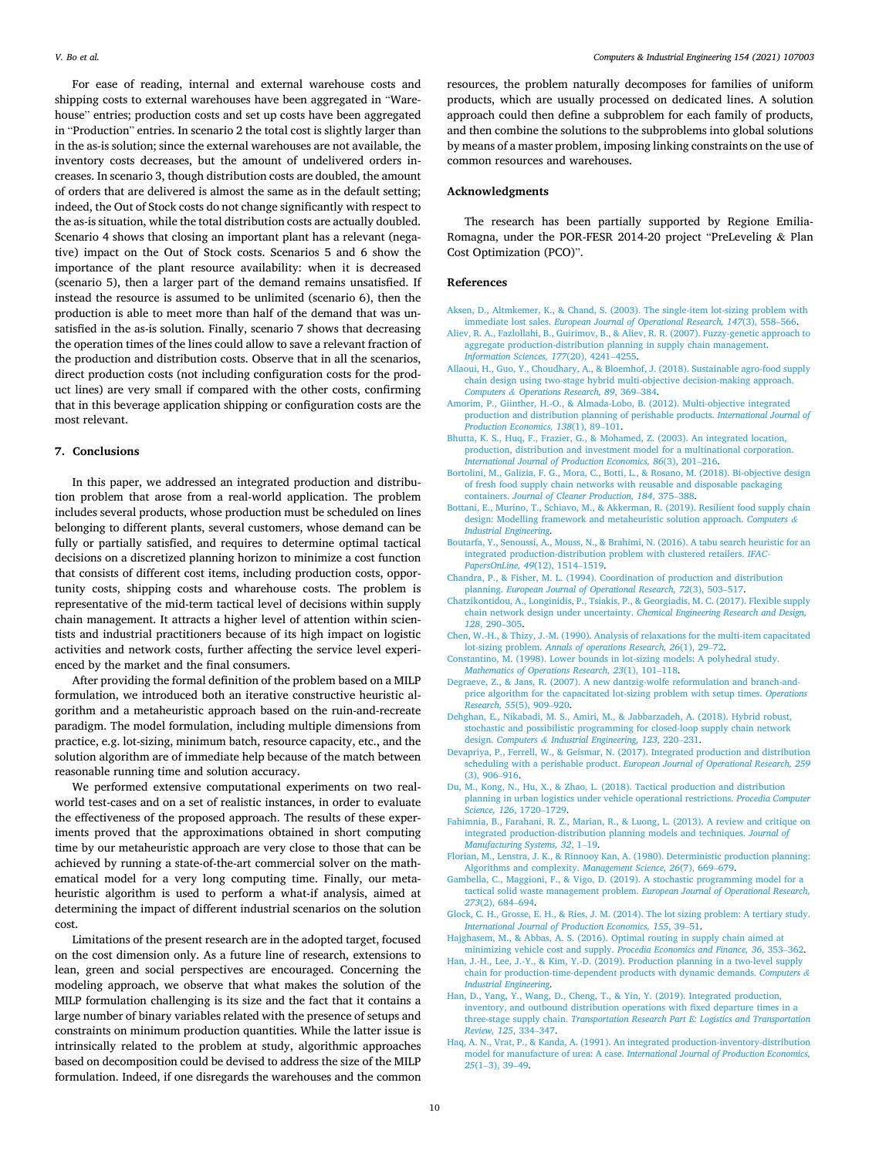<span id="page-9-0"></span>For ease of reading, internal and external warehouse costs and shipping costs to external warehouses have been aggregated in "Warehouse" entries; production costs and set up costs have been aggregated in "Production" entries. In scenario 2 the total cost is slightly larger than in the as-is solution; since the external warehouses are not available, the inventory costs decreases, but the amount of undelivered orders increases. In scenario 3, though distribution costs are doubled, the amount of orders that are delivered is almost the same as in the default setting; indeed, the Out of Stock costs do not change significantly with respect to the as-is situation, while the total distribution costs are actually doubled. Scenario 4 shows that closing an important plant has a relevant (negative) impact on the Out of Stock costs. Scenarios 5 and 6 show the importance of the plant resource availability: when it is decreased (scenario 5), then a larger part of the demand remains unsatisfied. If instead the resource is assumed to be unlimited (scenario 6), then the production is able to meet more than half of the demand that was unsatisfied in the as-is solution. Finally, scenario 7 shows that decreasing the operation times of the lines could allow to save a relevant fraction of the production and distribution costs. Observe that in all the scenarios, direct production costs (not including configuration costs for the product lines) are very small if compared with the other costs, confirming that in this beverage application shipping or configuration costs are the most relevant.

## **7. Conclusions**

In this paper, we addressed an integrated production and distribution problem that arose from a real-world application. The problem includes several products, whose production must be scheduled on lines belonging to different plants, several customers, whose demand can be fully or partially satisfied, and requires to determine optimal tactical decisions on a discretized planning horizon to minimize a cost function that consists of different cost items, including production costs, opportunity costs, shipping costs and wharehouse costs. The problem is representative of the mid-term tactical level of decisions within supply chain management. It attracts a higher level of attention within scientists and industrial practitioners because of its high impact on logistic activities and network costs, further affecting the service level experienced by the market and the final consumers.

After providing the formal definition of the problem based on a MILP formulation, we introduced both an iterative constructive heuristic algorithm and a metaheuristic approach based on the ruin-and-recreate paradigm. The model formulation, including multiple dimensions from practice, e.g. lot-sizing, minimum batch, resource capacity, etc., and the solution algorithm are of immediate help because of the match between reasonable running time and solution accuracy.

We performed extensive computational experiments on two realworld test-cases and on a set of realistic instances, in order to evaluate the effectiveness of the proposed approach. The results of these experiments proved that the approximations obtained in short computing time by our metaheuristic approach are very close to those that can be achieved by running a state-of-the-art commercial solver on the mathematical model for a very long computing time. Finally, our metaheuristic algorithm is used to perform a what-if analysis, aimed at determining the impact of different industrial scenarios on the solution cost.

Limitations of the present research are in the adopted target, focused on the cost dimension only. As a future line of research, extensions to lean, green and social perspectives are encouraged. Concerning the modeling approach, we observe that what makes the solution of the MILP formulation challenging is its size and the fact that it contains a large number of binary variables related with the presence of setups and constraints on minimum production quantities. While the latter issue is intrinsically related to the problem at study, algorithmic approaches based on decomposition could be devised to address the size of the MILP formulation. Indeed, if one disregards the warehouses and the common resources, the problem naturally decomposes for families of uniform products, which are usually processed on dedicated lines. A solution approach could then define a subproblem for each family of products, and then combine the solutions to the subproblems into global solutions by means of a master problem, imposing linking constraints on the use of common resources and warehouses.

## **Acknowledgments**

The research has been partially supported by Regione Emilia-Romagna, under the POR-FESR 2014-20 project "PreLeveling & Plan Cost Optimization (PCO)".

#### **References**

- [Aksen, D., Altmkemer, K., & Chand, S. \(2003\). The single-item lot-sizing problem with](http://refhub.elsevier.com/S0360-8352(20)30673-2/h0005)  immediate lost sales. *[European Journal of Operational Research, 147](http://refhub.elsevier.com/S0360-8352(20)30673-2/h0005)*(3), 558–566.
- [Aliev, R. A., Fazlollahi, B., Guirimov, B., & Aliev, R. R. \(2007\). Fuzzy-genetic approach to](http://refhub.elsevier.com/S0360-8352(20)30673-2/h0010)  [aggregate production-distribution planning in supply chain management.](http://refhub.elsevier.com/S0360-8352(20)30673-2/h0010) *[Information Sciences, 177](http://refhub.elsevier.com/S0360-8352(20)30673-2/h0010)*(20), 4241–4255.
- [Allaoui, H., Guo, Y., Choudhary, A., & Bloemhof, J. \(2018\). Sustainable agro-food supply](http://refhub.elsevier.com/S0360-8352(20)30673-2/h0015)  [chain design using two-stage hybrid multi-objective decision-making approach.](http://refhub.elsevier.com/S0360-8352(20)30673-2/h0015)  *Computers & [Operations Research, 89](http://refhub.elsevier.com/S0360-8352(20)30673-2/h0015)*, 369–384.
- [Amorim, P., Giinther, H.-O., & Almada-Lobo, B. \(2012\). Multi-objective integrated](http://refhub.elsevier.com/S0360-8352(20)30673-2/h0020)  [production and distribution planning of perishable products.](http://refhub.elsevier.com/S0360-8352(20)30673-2/h0020) *International Journal of [Production Economics, 138](http://refhub.elsevier.com/S0360-8352(20)30673-2/h0020)*(1), 89–101.
- [Bhutta, K. S., Huq, F., Frazier, G., & Mohamed, Z. \(2003\). An integrated location,](http://refhub.elsevier.com/S0360-8352(20)30673-2/h0025)  [production, distribution and investment model for a multinational corporation.](http://refhub.elsevier.com/S0360-8352(20)30673-2/h0025) *[International Journal of Production Economics, 86](http://refhub.elsevier.com/S0360-8352(20)30673-2/h0025)*(3), 201–216.
- [Bortolini, M., Galizia, F. G., Mora, C., Botti, L., & Rosano, M. \(2018\). Bi-objective design](http://refhub.elsevier.com/S0360-8352(20)30673-2/h0030)  [of fresh food supply chain networks with reusable and disposable packaging](http://refhub.elsevier.com/S0360-8352(20)30673-2/h0030)  containers. *[Journal of Cleaner Production, 184](http://refhub.elsevier.com/S0360-8352(20)30673-2/h0030)*, 375–388.
- [Bottani, E., Murino, T., Schiavo, M., & Akkerman, R. \(2019\). Resilient food supply chain](http://refhub.elsevier.com/S0360-8352(20)30673-2/h0035)  [design: Modelling framework and metaheuristic solution approach.](http://refhub.elsevier.com/S0360-8352(20)30673-2/h0035) *Computers & [Industrial Engineering](http://refhub.elsevier.com/S0360-8352(20)30673-2/h0035)*.
- [Boutarfa, Y., Senoussi, A., Mouss, N., & Brahimi, N. \(2016\). A tabu search heuristic for an](http://refhub.elsevier.com/S0360-8352(20)30673-2/h0040)  [integrated production-distribution problem with clustered retailers.](http://refhub.elsevier.com/S0360-8352(20)30673-2/h0040) *IFAC-[PapersOnLine, 49](http://refhub.elsevier.com/S0360-8352(20)30673-2/h0040)*(12), 1514–1519.
- [Chandra, P., & Fisher, M. L. \(1994\). Coordination of production and distribution](http://refhub.elsevier.com/S0360-8352(20)30673-2/h0045)  planning. *[European Journal of Operational Research, 72](http://refhub.elsevier.com/S0360-8352(20)30673-2/h0045)*(3), 503–517.
- [Chatzikontidou, A., Longinidis, P., Tsiakis, P., & Georgiadis, M. C. \(2017\). Flexible supply](http://refhub.elsevier.com/S0360-8352(20)30673-2/h0050)  [chain network design under uncertainty.](http://refhub.elsevier.com/S0360-8352(20)30673-2/h0050) *Chemical Engineering Research and Design, 128*[, 290](http://refhub.elsevier.com/S0360-8352(20)30673-2/h0050)–305.
- [Chen, W.-H., & Thizy, J.-M. \(1990\). Analysis of relaxations for the multi-item capacitated](http://refhub.elsevier.com/S0360-8352(20)30673-2/h0055)  lot-sizing problem. *[Annals of operations Research, 26](http://refhub.elsevier.com/S0360-8352(20)30673-2/h0055)*(1), 29–72.
- [Constantino, M. \(1998\). Lower bounds in lot-sizing models: A polyhedral study.](http://refhub.elsevier.com/S0360-8352(20)30673-2/h0060)  *[Mathematics of Operations Research, 23](http://refhub.elsevier.com/S0360-8352(20)30673-2/h0060)*(1), 101–118.
- [Degraeve, Z., & Jans, R. \(2007\). A new dantzig-wolfe reformulation and branch-and](http://refhub.elsevier.com/S0360-8352(20)30673-2/h0065)[price algorithm for the capacitated lot-sizing problem with setup times.](http://refhub.elsevier.com/S0360-8352(20)30673-2/h0065) *Operations [Research, 55](http://refhub.elsevier.com/S0360-8352(20)30673-2/h0065)*(5), 909–920.
- [Dehghan, E., Nikabadi, M. S., Amiri, M., & Jabbarzadeh, A. \(2018\). Hybrid robust,](http://refhub.elsevier.com/S0360-8352(20)30673-2/h0070) [stochastic and possibilistic programming for closed-loop supply chain network](http://refhub.elsevier.com/S0360-8352(20)30673-2/h0070) design. *Computers & [Industrial Engineering, 123](http://refhub.elsevier.com/S0360-8352(20)30673-2/h0070)*, 220–231.
- [Devapriya, P., Ferrell, W., & Geismar, N. \(2017\). Integrated production and distribution](http://refhub.elsevier.com/S0360-8352(20)30673-2/h0075)  scheduling with a perishable product. *[European Journal of Operational Research, 259](http://refhub.elsevier.com/S0360-8352(20)30673-2/h0075)*  [\(3\), 906](http://refhub.elsevier.com/S0360-8352(20)30673-2/h0075)–916.
- [Du, M., Kong, N., Hu, X., & Zhao, L. \(2018\). Tactical production and distribution](http://refhub.elsevier.com/S0360-8352(20)30673-2/h0080) [planning in urban logistics under vehicle operational restrictions.](http://refhub.elsevier.com/S0360-8352(20)30673-2/h0080) *Procedia Computer [Science, 126](http://refhub.elsevier.com/S0360-8352(20)30673-2/h0080)*, 1720–1729.
- [Fahimnia, B., Farahani, R. Z., Marian, R., & Luong, L. \(2013\). A review and critique on](http://refhub.elsevier.com/S0360-8352(20)30673-2/h0085)  [integrated production-distribution planning models and techniques.](http://refhub.elsevier.com/S0360-8352(20)30673-2/h0085) *Journal of [Manufacturing Systems, 32](http://refhub.elsevier.com/S0360-8352(20)30673-2/h0085)*, 1–19.
- [Florian, M., Lenstra, J. K., & Rinnooy Kan, A. \(1980\). Deterministic production planning:](http://refhub.elsevier.com/S0360-8352(20)30673-2/h0090)  [Algorithms and complexity.](http://refhub.elsevier.com/S0360-8352(20)30673-2/h0090) *Management Science, 26*(7), 669–679.
- [Gambella, C., Maggioni, F., & Vigo, D. \(2019\). A stochastic programming model for a](http://refhub.elsevier.com/S0360-8352(20)30673-2/h0095) [tactical solid waste management problem.](http://refhub.elsevier.com/S0360-8352(20)30673-2/h0095) *European Journal of Operational Research, 273*[\(2\), 684](http://refhub.elsevier.com/S0360-8352(20)30673-2/h0095)–694.
- [Glock, C. H., Grosse, E. H., & Ries, J. M. \(2014\). The lot sizing problem: A tertiary study.](http://refhub.elsevier.com/S0360-8352(20)30673-2/h0100)  *[International Journal of Production Economics, 155](http://refhub.elsevier.com/S0360-8352(20)30673-2/h0100)*, 39–51.
- [Hajghasem, M., & Abbas, A. S. \(2016\). Optimal routing in supply chain aimed at](http://refhub.elsevier.com/S0360-8352(20)30673-2/h0105)  [minimizing vehicle cost and supply.](http://refhub.elsevier.com/S0360-8352(20)30673-2/h0105) *Procedia Economics and Finance, 36*, 353–362.
- [Han, J.-H., Lee, J.-Y., & Kim, Y.-D. \(2019\). Production planning in a two-level supply](http://refhub.elsevier.com/S0360-8352(20)30673-2/h0110)  [chain for production-time-dependent products with dynamic demands.](http://refhub.elsevier.com/S0360-8352(20)30673-2/h0110) *Computers & [Industrial Engineering](http://refhub.elsevier.com/S0360-8352(20)30673-2/h0110)*.
- [Han, D., Yang, Y., Wang, D., Cheng, T., & Yin, Y. \(2019\). Integrated production,](http://refhub.elsevier.com/S0360-8352(20)30673-2/h0115) [inventory, and outbound distribution operations with fixed departure times in a](http://refhub.elsevier.com/S0360-8352(20)30673-2/h0115) three-stage supply chain. *[Transportation Research Part E: Logistics and Transportation](http://refhub.elsevier.com/S0360-8352(20)30673-2/h0115)  [Review, 125](http://refhub.elsevier.com/S0360-8352(20)30673-2/h0115)*, 334–347.
- [Haq, A. N., Vrat, P., & Kanda, A. \(1991\). An integrated production-inventory-distribution](http://refhub.elsevier.com/S0360-8352(20)30673-2/h0120)  model for manufacture of urea: A case. *[International Journal of Production Economics,](http://refhub.elsevier.com/S0360-8352(20)30673-2/h0120)  25*(1–[3\), 39](http://refhub.elsevier.com/S0360-8352(20)30673-2/h0120)–49.